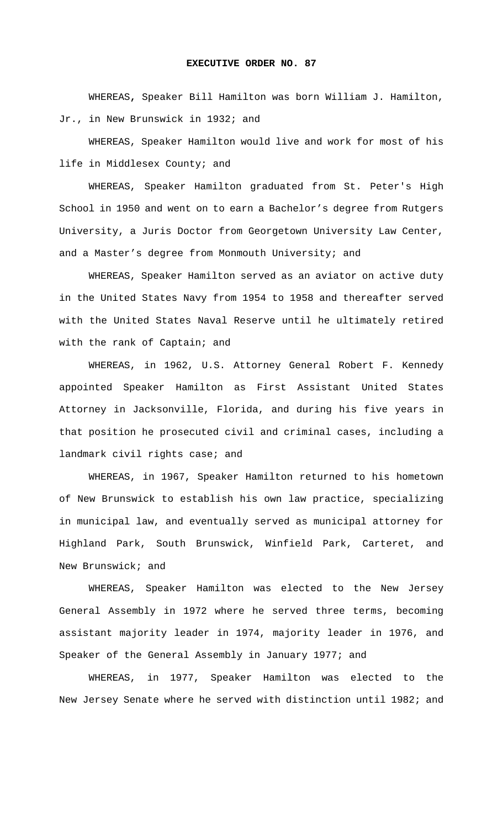## **EXECUTIVE ORDER NO. 87**

 WHEREAS**,** Speaker Bill Hamilton was born William J. Hamilton, Jr., in New Brunswick in 1932; and

WHEREAS, Speaker Hamilton would live and work for most of his life in Middlesex County; and

WHEREAS, Speaker Hamilton graduated from St. Peter's High School in 1950 and went on to earn a Bachelor's degree from Rutgers University, a Juris Doctor from Georgetown University Law Center, and a Master's degree from Monmouth University; and

WHEREAS, Speaker Hamilton served as an aviator on active duty in the United States Navy from 1954 to 1958 and thereafter served with the United States Naval Reserve until he ultimately retired with the rank of Captain; and

WHEREAS, in 1962, U.S. Attorney General Robert F. Kennedy appointed Speaker Hamilton as First Assistant United States Attorney in Jacksonville, Florida, and during his five years in that position he prosecuted civil and criminal cases, including a landmark civil rights case; and

WHEREAS, in 1967, Speaker Hamilton returned to his hometown of New Brunswick to establish his own law practice, specializing in municipal law, and eventually served as municipal attorney for Highland Park, South Brunswick, Winfield Park, Carteret, and New Brunswick; and

WHEREAS, Speaker Hamilton was elected to the New Jersey General Assembly in 1972 where he served three terms, becoming assistant majority leader in 1974, majority leader in 1976, and Speaker of the General Assembly in January 1977; and

WHEREAS, in 1977, Speaker Hamilton was elected to the New Jersey Senate where he served with distinction until 1982; and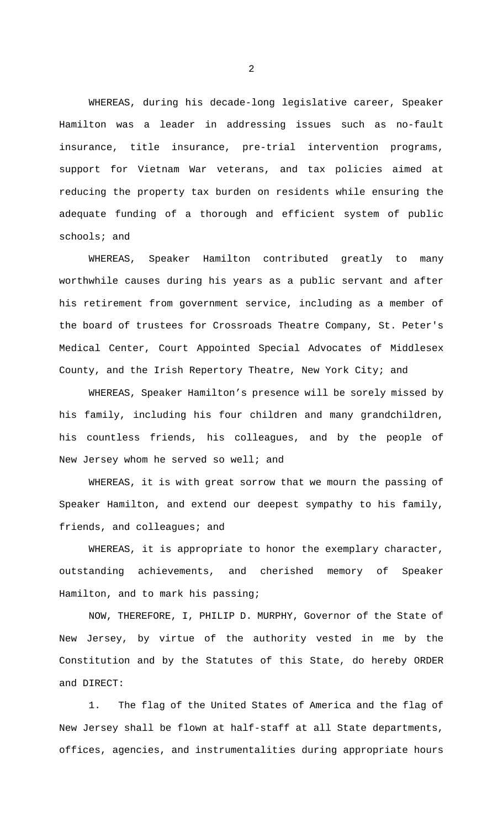WHEREAS, during his decade-long legislative career, Speaker Hamilton was a leader in addressing issues such as no-fault insurance, title insurance, pre-trial intervention programs, support for Vietnam War veterans, and tax policies aimed at reducing the property tax burden on residents while ensuring the adequate funding of a thorough and efficient system of public schools; and

WHEREAS, Speaker Hamilton contributed greatly to many worthwhile causes during his years as a public servant and after his retirement from government service, including as a member of the board of trustees for Crossroads Theatre Company, St. Peter's Medical Center, Court Appointed Special Advocates of Middlesex County, and the Irish Repertory Theatre, New York City; and

WHEREAS, Speaker Hamilton's presence will be sorely missed by his family, including his four children and many grandchildren, his countless friends, his colleagues, and by the people of New Jersey whom he served so well; and

WHEREAS, it is with great sorrow that we mourn the passing of Speaker Hamilton, and extend our deepest sympathy to his family, friends, and colleagues; and

WHEREAS, it is appropriate to honor the exemplary character, outstanding achievements, and cherished memory of Speaker Hamilton, and to mark his passing;

 NOW, THEREFORE, I, PHILIP D. MURPHY, Governor of the State of New Jersey, by virtue of the authority vested in me by the Constitution and by the Statutes of this State, do hereby ORDER and DIRECT:

1. The flag of the United States of America and the flag of New Jersey shall be flown at half-staff at all State departments, offices, agencies, and instrumentalities during appropriate hours

2